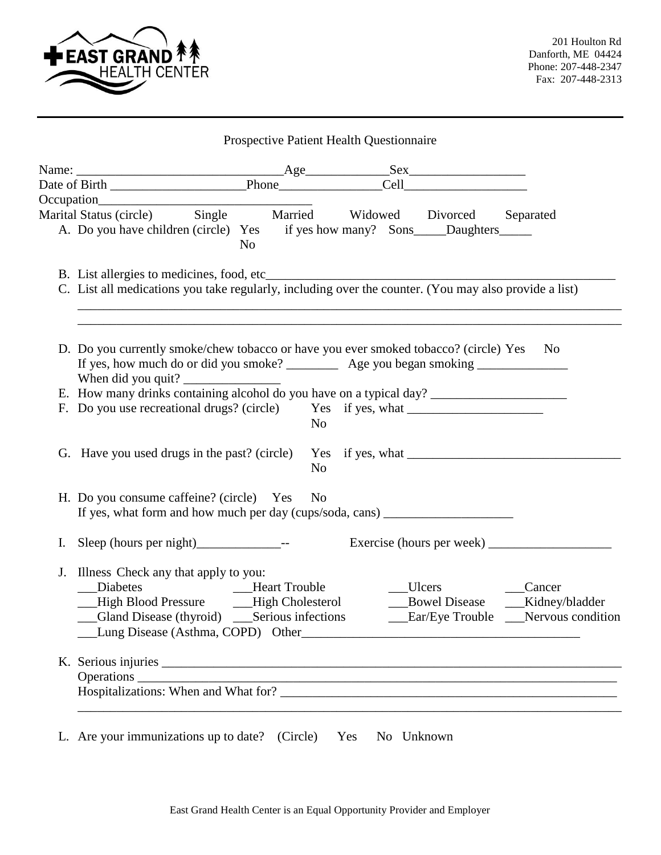

|    | Marital Status (circle) Single Married Widowed Divorced Separated                                     |                |                |  |               |                           |
|----|-------------------------------------------------------------------------------------------------------|----------------|----------------|--|---------------|---------------------------|
|    | A. Do you have children (circle) Yes if yes how many? Sons_____Daughters________                      | N <sub>0</sub> |                |  |               |                           |
|    |                                                                                                       |                |                |  |               |                           |
|    | C. List all medications you take regularly, including over the counter. (You may also provide a list) |                |                |  |               |                           |
|    |                                                                                                       |                |                |  |               |                           |
|    |                                                                                                       |                |                |  |               |                           |
|    | D. Do you currently smoke/chew tobacco or have you ever smoked tobacco? (circle) Yes No               |                |                |  |               |                           |
|    | If yes, how much do or did you smoke? ____________ Age you began smoking ___________________________  |                |                |  |               |                           |
|    | When did you quit?                                                                                    |                |                |  |               |                           |
|    |                                                                                                       |                |                |  |               |                           |
|    | F. Do you use recreational drugs? (circle) Yes if yes, what ____________________                      |                | N <sub>0</sub> |  |               |                           |
|    |                                                                                                       |                |                |  |               |                           |
|    |                                                                                                       |                |                |  |               |                           |
|    |                                                                                                       |                | N <sub>o</sub> |  |               |                           |
|    |                                                                                                       |                |                |  |               |                           |
|    | H. Do you consume caffeine? (circle) Yes                                                              |                | N <sub>0</sub> |  |               |                           |
|    | If yes, what form and how much per day (cups/soda, cans) ________________________                     |                |                |  |               |                           |
| I. |                                                                                                       |                |                |  |               | Exercise (hours per week) |
|    |                                                                                                       |                |                |  |               |                           |
| J. | Illness Check any that apply to you:                                                                  |                |                |  |               |                           |
|    | Diabetes<br><b>Example 3</b> Heart Trouble                                                            |                |                |  | Ulcers Cancer |                           |
|    | __High Blood Pressure ____High Cholesterol __________Bowel Disease _____Kidney/bladder                |                |                |  |               |                           |
|    |                                                                                                       |                |                |  |               |                           |
|    | Lung Disease (Asthma, COPD) Other                                                                     |                |                |  |               |                           |
|    |                                                                                                       |                |                |  |               |                           |
|    |                                                                                                       |                |                |  |               |                           |
|    |                                                                                                       |                |                |  |               |                           |
|    |                                                                                                       |                |                |  |               |                           |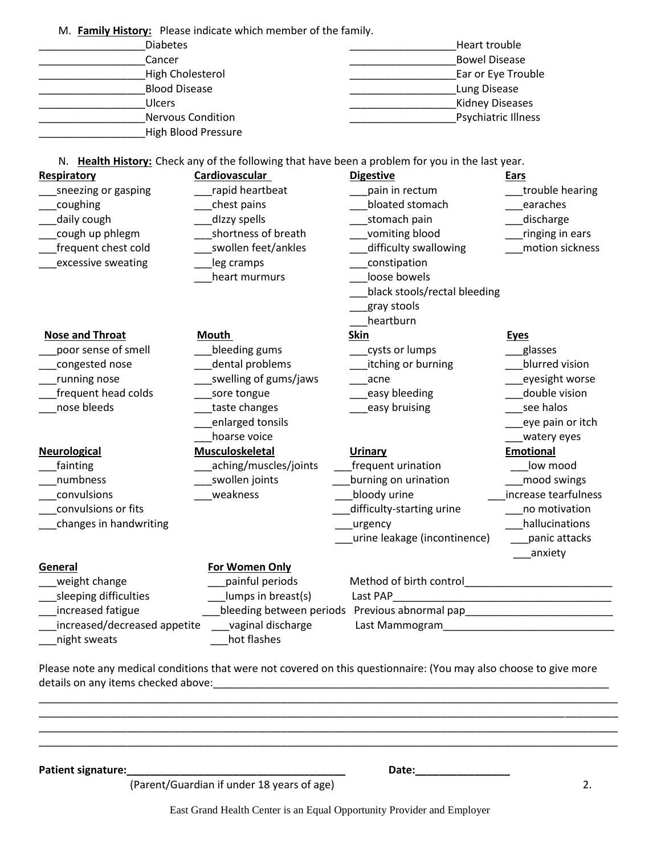M. **Family History:** Please indicate which member of the family. Diabetes **Example 2** and the set of the set of the set of the set of the set of the set of the set of the set of the set of the set of the set of the set of the set of the set of the set of the set of the set of the set of \_\_\_\_\_\_\_\_\_\_\_\_\_\_\_\_\_\_Cancer \_\_\_\_\_\_\_\_\_\_\_\_\_\_\_\_\_\_Bowel Disease High Cholesterol **Example 2** and the High Cholesterol **Example 2** and the Ear or Eye Trouble Blood Disease **Example 20** and the set of the set of the set of the set of the set of the set of the set of the set of the set of the set of the set of the set of the set of the set of the set of the set of the set of the \_\_\_\_\_\_\_\_\_\_\_\_\_\_\_\_\_\_Ulcers \_\_\_\_\_\_\_\_\_\_\_\_\_\_\_\_\_\_Kidney Diseases \_\_\_\_\_\_\_\_\_\_\_\_\_\_\_\_\_\_Nervous Condition \_\_\_\_\_\_\_\_\_\_\_\_\_\_\_\_\_\_Psychiatric Illness \_\_\_\_\_\_\_\_\_\_\_\_\_\_\_\_\_\_High Blood Pressure N. **Health History:** Check any of the following that have been a problem for you in the last year. **Respiratory Cardiovascular Digestive Ears Ears** \_\_\_sneezing or gasping \_\_\_rapid heartbeat \_\_\_pain in rectum \_\_\_trouble hearing example are are to the chest pains and the bloated stomach and the earaches earaches \_\_\_daily cough \_\_\_dIzzy spells \_\_\_stomach pain \_\_\_discharge Lough up phlegm and all other shortness of breath and the vomiting blood and the same inging in ears \_\_frequent chest cold \_\_\_\_\_\_\_\_\_\_\_\_\_swollen feet/ankles \_\_\_\_\_\_\_\_\_\_difficulty swallowing \_\_\_\_\_\_\_\_motion sickness excessive sweating and all leg cramps and all constipation heart murmurs **blue bowels** black stools/rectal bleeding \_\_\_gray stools \_\_\_heartburn **Nose and Throat Mouth Skin** Skin **Skin Eyes** \_\_\_poor sense of smell \_\_\_bleeding gums \_\_\_cysts or lumps \_\_\_glasses examples the set of the congested nose the congression contract of the dental problems the contract itching or burning the blurred vision running nose example and the swelling of gums/jaws and acne the series of the eyesight worse Latter the colds the same tongue to the case of the colds and colds and colds the sore tongue colds and colds to cold and colds and colds and colds and colds and colds and colds and colds and colds and colds and colds and nose bleeds and the taste changes and the changes are seen halos are seen halos and the changes are seen halos enlarged tonsils and the contract of the contract of the contract of the contract of the contract of the contract of the contract of the contract of the contract of the contract of the contract of the contract of the contr discrete voice and the set of the set of the set of the set of the set of the set of the set of the set of the set of the set of the set of the set of the set of the set of the set of the set of the set of the set of the s **Neurological Musculoskeletal Urinary Emotional** of the state of the contract of the state of the state of the state of the state of the state of the state of t<br>
denote the state of the state of the state of the state of the state of the state of the state of the state o \_\_\_numbness \_\_\_swollen joints \_\_\_burning on urination \_\_\_mood swings \_\_\_convulsions \_\_\_weakness \_\_\_bloody urine \_\_\_increase tearfulness \_\_\_convulsions or fits \_\_\_difficulty-starting urine \_\_\_no motivation changes in handwriting the control of the control of the control of the control of the control of the control o \_\_urine leakage (incontinence) \_\_\_\_panic attacks \_\_\_anxiety **General For Women Only** \_\_\_weight change \_\_\_painful periods Method of birth control\_\_\_\_\_\_\_\_\_\_\_\_\_\_\_\_\_\_\_\_\_\_\_\_\_ \_\_\_sleeping difficulties \_\_\_lumps in breast(s) Last PAP\_\_\_\_\_\_\_\_\_\_\_\_\_\_\_\_\_\_\_\_\_\_\_\_\_\_\_\_\_\_\_\_\_\_\_\_\_ \_\_\_increased fatigue \_\_\_bleeding between periods Previous abnormal pap\_\_\_\_\_\_\_\_\_\_\_\_\_\_\_\_\_\_\_\_\_\_\_\_\_ \_\_increased/decreased appetite \_\_\_\_vaginal discharge \_\_\_\_\_\_\_\_\_\_\_\_\_\_\_\_\_\_\_\_\_\_\_\_\_\_\_ night sweats **business** hot flashes

Please note any medical conditions that were not covered on this questionnaire: (You may also choose to give more details on any items checked above:

\_\_\_\_\_\_\_\_\_\_\_\_\_\_\_\_\_\_\_\_\_\_\_\_\_\_\_\_\_\_\_\_\_\_\_\_\_\_\_\_\_\_\_\_\_\_\_\_\_\_\_\_\_\_\_\_\_\_\_\_\_\_\_\_\_\_\_\_\_\_\_\_\_\_\_\_\_\_\_\_\_\_\_\_\_\_\_\_\_\_\_\_\_\_\_\_\_\_ \_\_\_\_\_\_\_\_\_\_\_\_\_\_\_\_\_\_\_\_\_\_\_\_\_\_\_\_\_\_\_\_\_\_\_\_\_\_\_\_\_\_\_\_\_\_\_\_\_\_\_\_\_\_\_\_\_\_\_\_\_\_\_\_\_\_\_\_\_\_\_\_\_\_\_\_\_\_\_\_\_\_\_\_\_\_\_\_\_\_\_\_\_\_\_\_\_\_ \_\_\_\_\_\_\_\_\_\_\_\_\_\_\_\_\_\_\_\_\_\_\_\_\_\_\_\_\_\_\_\_\_\_\_\_\_\_\_\_\_\_\_\_\_\_\_\_\_\_\_\_\_\_\_\_\_\_\_\_\_\_\_\_\_\_\_\_\_\_\_\_\_\_\_\_\_\_\_\_\_\_\_\_\_\_\_\_\_\_\_\_\_\_\_\_\_\_ \_\_\_\_\_\_\_\_\_\_\_\_\_\_\_\_\_\_\_\_\_\_\_\_\_\_\_\_\_\_\_\_\_\_\_\_\_\_\_\_\_\_\_\_\_\_\_\_\_\_\_\_\_\_\_\_\_\_\_\_\_\_\_\_\_\_\_\_\_\_\_\_\_\_\_\_\_\_\_\_\_\_\_\_\_\_\_\_\_\_\_\_\_\_\_\_\_\_

**Patient signature:\_\_\_\_\_\_\_\_\_\_\_\_\_\_\_\_\_\_\_\_\_\_\_\_\_\_\_\_\_\_\_\_\_\_\_\_\_ Date:\_\_\_\_\_\_\_\_\_\_\_\_\_\_\_\_**

(Parent/Guardian if under 18 years of age) 2.

East Grand Health Center is an Equal Opportunity Provider and Employer